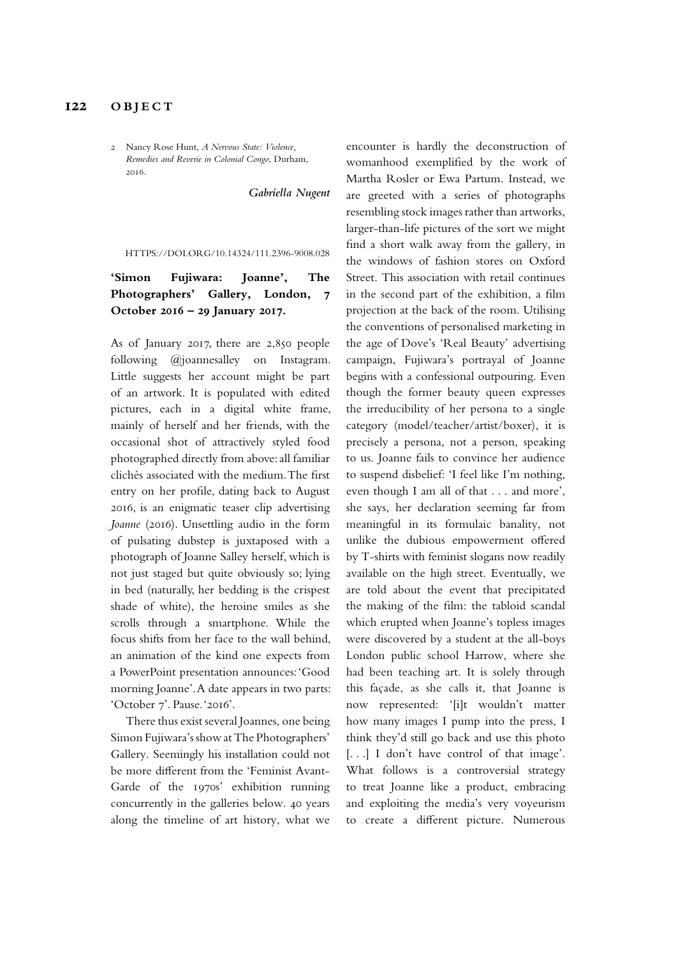## **122 OBJECT**

2 Nancy Rose Hunt, *A Nervous State: Violence, Remedies and Reverie in Colonial Congo*, Durham, 2016.

*Gabriella Nugent*

HTTPS://DOI.ORG/10.14324/111.2396-9008.028

## **'Simon Fujiwara: Joanne', The Photographers' Gallery, London, 7 October 2016 – 29 January 2017.**

As of January 2017, there are 2,850 people following @joannesalley on Instagram. Little suggests her account might be part of an artwork. It is populated with edited pictures, each in a digital white frame, mainly of herself and her friends, with the occasional shot of attractively styled food photographed directly from above: all familiar clichés associated with the medium. The frst entry on her profle, dating back to August 2016, is an enigmatic teaser clip advertising *Joanne* (2016). Unsettling audio in the form of pulsating dubstep is juxtaposed with a photograph of Joanne Salley herself, which is not just staged but quite obviously so; lying in bed (naturally, her bedding is the crispest shade of white), the heroine smiles as she scrolls through a smartphone. While the focus shifts from her face to the wall behind, an animation of the kind one expects from a PowerPoint presentation announces: 'Good morning Joanne'. A date appears in two parts: 'October 7'. Pause. '2016'.

There thus exist several Joannes, one being Simon Fujiwara's show at The Photographers' Gallery. Seemingly his installation could not be more diferent from the 'Feminist Avant-Garde of the 1970s' exhibition running concurrently in the galleries below. 40 years along the timeline of art history, what we

encounter is hardly the deconstruction of womanhood exemplifed by the work of Martha Rosler or Ewa Partum. Instead, we are greeted with a series of photographs resembling stock images rather than artworks, larger-than-life pictures of the sort we might fnd a short walk away from the gallery, in the windows of fashion stores on Oxford Street. This association with retail continues in the second part of the exhibition, a flm projection at the back of the room. Utilising the conventions of personalised marketing in the age of Dove's 'Real Beauty' advertising campaign, Fujiwara's portrayal of Joanne begins with a confessional outpouring. Even though the former beauty queen expresses the irreducibility of her persona to a single category (model/teacher/artist/boxer), it is precisely a persona, not a person, speaking to us. Joanne fails to convince her audience to suspend disbelief: 'I feel like I'm nothing, even though I am all of that . . . and more', she says, her declaration seeming far from meaningful in its formulaic banality, not unlike the dubious empowerment ofered by T-shirts with feminist slogans now readily available on the high street. Eventually, we are told about the event that precipitated the making of the flm: the tabloid scandal which erupted when Joanne's topless images were discovered by a student at the all-boys London public school Harrow, where she had been teaching art. It is solely through this façade, as she calls it, that Joanne is now represented: '[i]t wouldn't matter how many images I pump into the press, I think they'd still go back and use this photo [...] I don't have control of that image'. What follows is a controversial strategy to treat Joanne like a product, embracing and exploiting the media's very voyeurism to create a diferent picture. Numerous